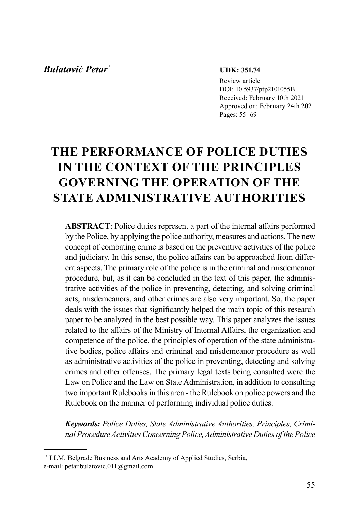## *Bulatović Petar\**

#### **UDK: 351.74**

Review article DOI: 10.5937/ptp2101055B Received: February 10th 2021 Approved on: February 24th 2021 Pages: 55–69

# **THE PERFORMANCE OF POLICE DUTIES IN THE CONTEXT OF THE PRINCIPLES GOVERNING THE OPERATION OF THE STATE ADMINISTRATIVE AUTHORITIES**

**ABSTRACT**: Police duties represent a part of the internal affairs performed by the Police, by applying the police authority, measures and actions. The new concept of combating crime is based on the preventive activities of the police and judiciary. In this sense, the police affairs can be approached from different aspects. The primary role of the police is in the criminal and misdemeanor procedure, but, as it can be concluded in the text of this paper, the administrative activities of the police in preventing, detecting, and solving criminal acts, misdemeanors, and other crimes are also very important. So, the paper deals with the issues that significantly helped the main topic of this research paper to be analyzed in the best possible way. This paper analyzes the issues related to the affairs of the Ministry of Internal Affairs, the organization and competence of the police, the principles of operation of the state administrative bodies, police affairs and criminal and misdemeanor procedure as well as administrative activities of the police in preventing, detecting and solving crimes and other offenses. The primary legal texts being consulted were the Law on Police and the Law on State Administration, in addition to consulting two important Rulebooks in this area - the Rulebook on police powers and the Rulebook on the manner of performing individual police duties.

*Keywords: Police Duties, State Administrative Authorities, Principles, Criminal Procedure Activities Concerning Police, Administrative Duties of the Police*

<sup>\*</sup> LLM, Belgrade Business and Arts Academy of Applied Studies, Serbia, e-mail: petar.bulatovic.011@gmail.com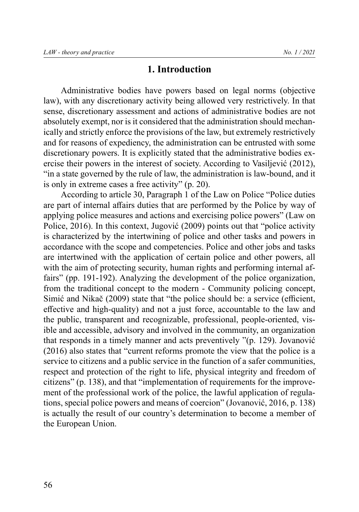### **1. Introduction**

Administrative bodies have powers based on legal norms (objective law), with any discretionary activity being allowed very restrictively. In that sense, discretionary assessment and actions of administrative bodies are not absolutely exempt, nor is it considered that the administration should mechanically and strictly enforce the provisions of the law, but extremely restrictively and for reasons of expediency, the administration can be entrusted with some discretionary powers. It is explicitly stated that the administrative bodies exercise their powers in the interest of society. According to Vasiljević (2012), "in a state governed by the rule of law, the administration is law-bound, and it is only in extreme cases a free activity" (p. 20).

According to article 30, Paragraph 1 of the Law on Police "Police duties are part of internal affairs duties that are performed by the Police by way of applying police measures and actions and exercising police powers" (Law on Police, 2016). In this context, Jugović (2009) points out that "police activity is characterized by the intertwining of police and other tasks and powers in accordance with the scope and competencies. Police and other jobs and tasks are intertwined with the application of certain police and other powers, all with the aim of protecting security, human rights and performing internal affairs" (pp. 191-192). Analyzing the development of the police organization, from the traditional concept to the modern - Community policing concept, Simić and Nikač (2009) state that "the police should be: a service (efficient, effective and high-quality) and not a just force, accountable to the law and the public, transparent and recognizable, professional, people-oriented, visible and accessible, advisory and involved in the community, an organization that responds in a timely manner and acts preventively "(p. 129). Jovanović (2016) also states that "current reforms promote the view that the police is a service to citizens and a public service in the function of a safer communities, respect and protection of the right to life, physical integrity and freedom of citizens" (p. 138), and that "implementation of requirements for the improvement of the professional work of the police, the lawful application of regulations, special police powers and means of coercion" (Jovanović, 2016, p. 138) is actually the result of our country's determination to become a member of the European Union.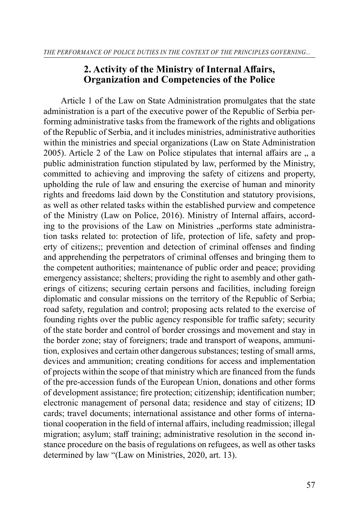## **2. Activity of the Ministry of Internal Affairs, Organization and Competencies of the Police**

Article 1 of the Law on State Administration promulgates that the state administration is a part of the executive power of the Republic of Serbia performing administrative tasks from the framework of the rights and obligations of the Republic of Serbia, and it includes ministries, administrative authorities within the ministries and special organizations (Law on State Administration 2005). Article 2 of the Law on Police stipulates that internal affairs are  $\ldots$  a public administration function stipulated by law, performed by the Ministry, committed to achieving and improving the safety of citizens and property, upholding the rule of law and ensuring the exercise of human and minority rights and freedoms laid down by the Constitution and statutory provisions, as well as other related tasks within the established purview and competence of the Ministry (Law on Police, 2016). Ministry of Internal affairs, according to the provisions of the Law on Ministries "performs state administration tasks related to: protection of life, protection of life, safety and property of citizens;; prevention and detection of criminal offenses and finding and apprehending the perpetrators of criminal offenses and bringing them to the competent authorities; maintenance of public order and peace; providing emergency assistance; shelters; providing the right to asembly and other gatherings of citizens; securing certain persons and facilities, including foreign diplomatic and consular missions on the territory of the Republic of Serbia; road safety, regulation and control; proposing acts related to the exercise of founding rights over the public agency responsible for traffic safety; security of the state border and control of border crossings and movement and stay in the border zone; stay of foreigners; trade and transport of weapons, ammunition, explosives and certain other dangerous substances; testing of small arms, devices and ammunition; creating conditions for access and implementation of projects within the scope of that ministry which are financed from the funds of the pre-accession funds of the European Union, donations and other forms of development assistance; fire protection; citizenship; identification number; electronic management of personal data; residence and stay of citizens; ID cards; travel documents; international assistance and other forms of international cooperation in the field of internal affairs, including readmission; illegal migration; asylum; staff training; administrative resolution in the second instance procedure on the basis of regulations on refugees, as well as other tasks determined by law "(Law on Ministries, 2020, art. 13).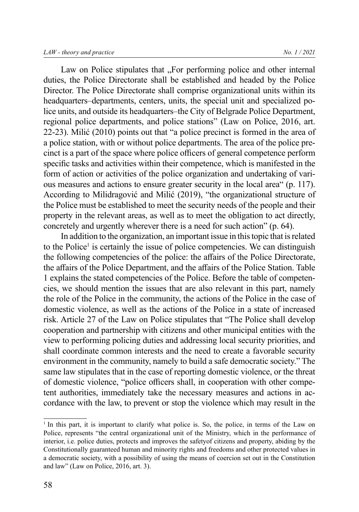Law on Police stipulates that "For performing police and other internal duties, the Police Directorate shall be established and headed by the Police Director. The Police Directorate shall comprise organizational units within its headquarters–departments, centers, units, the special unit and specialized police units, and outside its headquarters–the City of Belgrade Police Department, regional police departments, and police stations" (Law on Police, 2016, art. 22-23). Milić (2010) points out that "a police precinct is formed in the area of a police station, with or without police departments. The area of the police precinct is a part of the space where police officers of general competence perform specific tasks and activities within their competence, which is manifested in the form of action or activities of the police organization and undertaking of various measures and actions to ensure greater security in the local area" (p. 117). According to Milidragović and Milić (2019), "the organizational structure of the Police must be established to meet the security needs of the people and their property in the relevant areas, as well as to meet the obligation to act directly, concretely and urgently wherever there is a need for such action" (p. 64).

In addition to the organization, an important issue in this topic that is related to the Police<sup>1</sup> is certainly the issue of police competencies. We can distinguish the following competencies of the police: the affairs of the Police Directorate, the affairs of the Police Department, and the affairs of the Police Station. Table 1 explains the stated competencies of the Police. Before the table of competencies, we should mention the issues that are also relevant in this part, namely the role of the Police in the community, the actions of the Police in the case of domestic violence, as well as the actions of the Police in a state of increased risk. Article 27 of the Law on Police stipulates that "The Police shall develop cooperation and partnership with citizens and other municipal entities with the view to performing policing duties and addressing local security priorities, and shall coordinate common interests and the need to create a favorable security environment in the community, namely to build a safe democratic society." The same law stipulates that in the case of reporting domestic violence, or the threat of domestic violence, "police officers shall, in cooperation with other competent authorities, immediately take the necessary measures and actions in accordance with the law, to prevent or stop the violence which may result in the

<sup>&</sup>lt;sup>1</sup> In this part, it is important to clarify what police is. So, the police, in terms of the Law on Police, represents "the central organizational unit of the Ministry, which in the performance of interior, i.e. police duties, protects and improves the safetyof citizens and property, abiding by the Constitutionally guaranteed human and minority rights and freedoms and other protected values in a democratic society, with a possibility of using the means of coercion set out in the Constitution and law" (Law on Police, 2016, art. 3).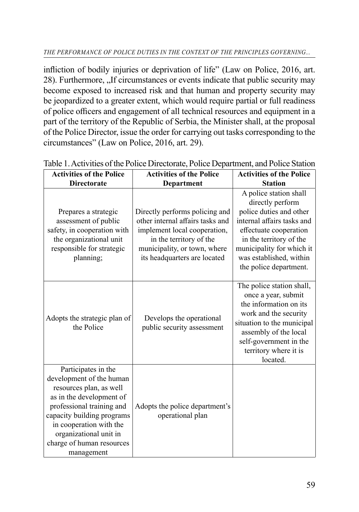infliction of bodily injuries or deprivation of life" (Law on Police, 2016, art. 28). Furthermore,  $\mu$  f circumstances or events indicate that public security may become exposed to increased risk and that human and property security may be jeopardized to a greater extent, which would require partial or full readiness of police officers and engagement of all technical resources and equipment in a part of the territory of the Republic of Serbia, the Minister shall, at the proposal of the Police Director, issue the order for carrying out tasks corresponding to the circumstances" (Law on Police, 2016, art. 29).

| <b>Activities of the Police</b>                                                                                                                                                                                                                                   | <b>Activities of the Police</b>                                                                                                                                                               | <b>Activities of the Police</b>                                                                                                                                                                                                            |
|-------------------------------------------------------------------------------------------------------------------------------------------------------------------------------------------------------------------------------------------------------------------|-----------------------------------------------------------------------------------------------------------------------------------------------------------------------------------------------|--------------------------------------------------------------------------------------------------------------------------------------------------------------------------------------------------------------------------------------------|
| <b>Directorate</b>                                                                                                                                                                                                                                                | Department                                                                                                                                                                                    | <b>Station</b>                                                                                                                                                                                                                             |
| Prepares a strategic<br>assessment of public<br>safety, in cooperation with<br>the organizational unit<br>responsible for strategic<br>planning;                                                                                                                  | Directly performs policing and<br>other internal affairs tasks and<br>implement local cooperation,<br>in the territory of the<br>municipality, or town, where<br>its headquarters are located | A police station shall<br>directly perform<br>police duties and other<br>internal affairs tasks and<br>effectuate cooperation<br>in the territory of the<br>municipality for which it<br>was established, within<br>the police department. |
| Adopts the strategic plan of<br>the Police                                                                                                                                                                                                                        | Develops the operational<br>public security assessment                                                                                                                                        | The police station shall,<br>once a year, submit<br>the information on its<br>work and the security<br>situation to the municipal<br>assembly of the local<br>self-government in the<br>territory where it is<br>located.                  |
| Participates in the<br>development of the human<br>resources plan, as well<br>as in the development of<br>professional training and<br>capacity building programs<br>in cooperation with the<br>organizational unit in<br>charge of human resources<br>management | Adopts the police department's<br>operational plan                                                                                                                                            |                                                                                                                                                                                                                                            |

Table 1. Activities of the Police Directorate, Police Department, and Police Station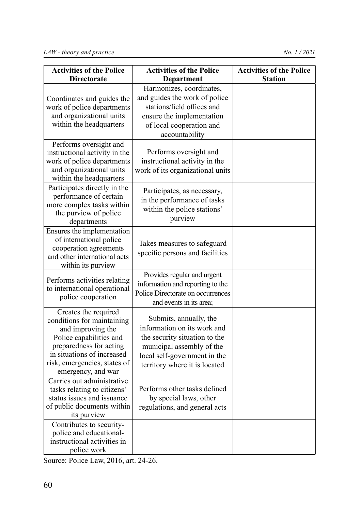| <b>Activities of the Police</b><br><b>Directorate</b>                                                                                                                                                             | <b>Activities of the Police</b><br>Department                                                                                                                                        | <b>Activities of the Police</b><br><b>Station</b> |
|-------------------------------------------------------------------------------------------------------------------------------------------------------------------------------------------------------------------|--------------------------------------------------------------------------------------------------------------------------------------------------------------------------------------|---------------------------------------------------|
| Coordinates and guides the<br>work of police departments<br>and organizational units<br>within the headquarters                                                                                                   | Harmonizes, coordinates,<br>and guides the work of police<br>stations/field offices and<br>ensure the implementation<br>of local cooperation and<br>accountability                   |                                                   |
| Performs oversight and<br>instructional activity in the<br>work of police departments<br>and organizational units<br>within the headquarters                                                                      | Performs oversight and<br>instructional activity in the<br>work of its organizational units                                                                                          |                                                   |
| Participates directly in the<br>performance of certain<br>more complex tasks within<br>the purview of police<br>departments                                                                                       | Participates, as necessary,<br>in the performance of tasks<br>within the police stations'<br>purview                                                                                 |                                                   |
| Ensures the implementation<br>of international police<br>cooperation agreements<br>and other international acts<br>within its purview                                                                             | Takes measures to safeguard<br>specific persons and facilities                                                                                                                       |                                                   |
| Performs activities relating<br>to international operational<br>police cooperation                                                                                                                                | Provides regular and urgent<br>information and reporting to the<br>Police Directorate on occurrences<br>and events in its area;                                                      |                                                   |
| Creates the required<br>conditions for maintaining<br>and improving the<br>Police capabilities and<br>preparedness for acting<br>in situations of increased<br>risk, emergencies, states of<br>emergency, and war | Submits, annually, the<br>information on its work and<br>the security situation to the<br>municipal assembly of the<br>local self-government in the<br>territory where it is located |                                                   |
| Carries out administrative<br>tasks relating to citizens'<br>status issues and issuance<br>of public documents within<br>its purview<br>Contributes to security-<br>police and educational-                       | Performs other tasks defined<br>by special laws, other<br>regulations, and general acts                                                                                              |                                                   |
| instructional activities in<br>police work                                                                                                                                                                        |                                                                                                                                                                                      |                                                   |

Source: Police Law, 2016, art. 24-26.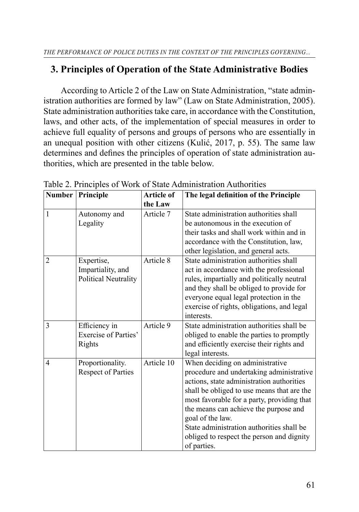## **3. Principles of Operation of the State Administrative Bodies**

According to Article 2 of the Law on State Administration, "state administration authorities are formed by law" (Law on State Administration, 2005). State administration authorities take care, in accordance with the Constitution, laws, and other acts, of the implementation of special measures in order to achieve full equality of persons and groups of persons who are essentially in an unequal position with other citizens (Kulić, 2017, p. 55). The same law determines and defines the principles of operation of state administration authorities, which are presented in the table below.

| <b>Number</b>  | Principle                                                      | <b>Article of</b> | The legal definition of the Principle                                                                                                                                                                                                                                                                                                                                                      |
|----------------|----------------------------------------------------------------|-------------------|--------------------------------------------------------------------------------------------------------------------------------------------------------------------------------------------------------------------------------------------------------------------------------------------------------------------------------------------------------------------------------------------|
|                |                                                                | the Law           |                                                                                                                                                                                                                                                                                                                                                                                            |
| 1              | Autonomy and<br>Legality                                       | Article 7         | State administration authorities shall<br>be autonomous in the execution of<br>their tasks and shall work within and in<br>accordance with the Constitution, law,<br>other legislation, and general acts.                                                                                                                                                                                  |
| $\overline{2}$ | Expertise,<br>Impartiality, and<br><b>Political Neutrality</b> | Article 8         | State administration authorities shall<br>act in accordance with the professional<br>rules, impartially and politically neutral<br>and they shall be obliged to provide for<br>everyone equal legal protection in the<br>exercise of rights, obligations, and legal<br>interests.                                                                                                          |
| 3              | Efficiency in<br>Exercise of Parties'<br>Rights                | Article 9         | State administration authorities shall be<br>obliged to enable the parties to promptly<br>and efficiently exercise their rights and<br>legal interests.                                                                                                                                                                                                                                    |
| 4              | Proportionality.<br><b>Respect of Parties</b>                  | Article 10        | When deciding on administrative<br>procedure and undertaking administrative<br>actions, state administration authorities<br>shall be obliged to use means that are the<br>most favorable for a party, providing that<br>the means can achieve the purpose and<br>goal of the law.<br>State administration authorities shall be<br>obliged to respect the person and dignity<br>of parties. |

Table 2. Principles of Work of State Administration Authorities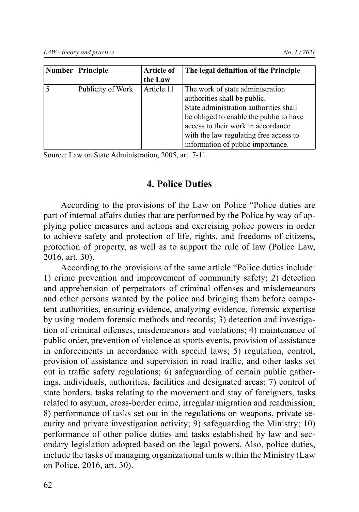| Number   Principle | <b>Article of</b><br>the Law | The legal definition of the Principle                                                                                                                                                                                                                                      |
|--------------------|------------------------------|----------------------------------------------------------------------------------------------------------------------------------------------------------------------------------------------------------------------------------------------------------------------------|
| Publicity of Work  | Article 11                   | The work of state administration<br>authorities shall be public.<br>State administration authorities shall<br>be obliged to enable the public to have<br>access to their work in accordance<br>with the law regulating free access to<br>information of public importance. |

Source: Law on State Administration, 2005, art. 7-11

## **4. Police Duties**

According to the provisions of the Law on Police "Police duties are part of internal affairs duties that are performed by the Police by way of applying police measures and actions and exercising police powers in order to achieve safety and protection of life, rights, and freedoms of citizens, protection of property, as well as to support the rule of law (Police Law, 2016, art. 30).

According to the provisions of the same article "Police duties include: 1) crime prevention and improvement of community safety; 2) detection and apprehension of perpetrators of criminal offenses and misdemeanors and other persons wanted by the police and bringing them before competent authorities, ensuring evidence, analyzing evidence, forensic expertise by using modern forensic methods and records; 3) detection and investigation of criminal offenses, misdemeanors and violations; 4) maintenance of public order, prevention of violence at sports events, provision of assistance in enforcements in accordance with special laws; 5) regulation, control, provision of assistance and supervision in road traffic, and other tasks set out in traffic safety regulations; 6) safeguarding of certain public gatherings, individuals, authorities, facilities and designated areas; 7) control of state borders, tasks relating to the movement and stay of foreigners, tasks related to asylum, cross-border crime, irregular migration and readmission; 8) performance of tasks set out in the regulations on weapons, private security and private investigation activity; 9) safeguarding the Ministry; 10) performance of other police duties and tasks established by law and secondary legislation adopted based on the legal powers. Also, police duties, include the tasks of managing organizational units within the Ministry (Law on Police, 2016, art. 30).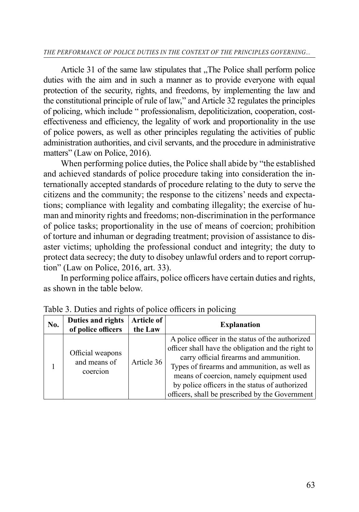#### *THE PERFORMANCE OF POLICE DUTIES IN THE CONTEXT OF THE PRINCIPLES GOVERNING...*

Article 31 of the same law stipulates that "The Police shall perform police" duties with the aim and in such a manner as to provide everyone with equal protection of the security, rights, and freedoms, by implementing the law and the constitutional principle of rule of law," and Article 32 regulates the principles of policing, which include " professionalism, depoliticization, cooperation, costeffectiveness and efficiency, the legality of work and proportionality in the use of police powers, as well as other principles regulating the activities of public administration authorities, and civil servants, and the procedure in administrative matters" (Law on Police, 2016).

When performing police duties, the Police shall abide by "the established and achieved standards of police procedure taking into consideration the internationally accepted standards of procedure relating to the duty to serve the citizens and the community; the response to the citizens' needs and expectations; compliance with legality and combating illegality; the exercise of human and minority rights and freedoms; non-discrimination in the performance of police tasks; proportionality in the use of means of coercion; prohibition of torture and inhuman or degrading treatment; provision of assistance to disaster victims; upholding the professional conduct and integrity; the duty to protect data secrecy; the duty to disobey unlawful orders and to report corruption" (Law on Police, 2016, art. 33).

In performing police affairs, police officers have certain duties and rights, as shown in the table below.

| No. | Duties and rights<br>of police officers      | Article of<br>the Law | <b>Explanation</b>                                                                                                                                                                                                                                                                                                                                 |
|-----|----------------------------------------------|-----------------------|----------------------------------------------------------------------------------------------------------------------------------------------------------------------------------------------------------------------------------------------------------------------------------------------------------------------------------------------------|
|     | Official weapons<br>and means of<br>coercion | Article 36            | A police officer in the status of the authorized<br>officer shall have the obligation and the right to<br>carry official firearms and ammunition.<br>Types of firearms and ammunition, as well as<br>means of coercion, namely equipment used<br>by police officers in the status of authorized<br>officers, shall be prescribed by the Government |

Table 3. Duties and rights of police officers in policing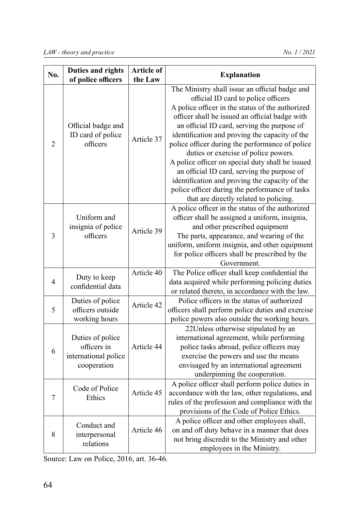| No.            | <b>Duties and rights</b><br>of police officers                         | <b>Article of</b><br>the Law | <b>Explanation</b>                                                                                                                                                                                                                                                                                                                                                                                                                                                                                                                                                                                                                       |
|----------------|------------------------------------------------------------------------|------------------------------|------------------------------------------------------------------------------------------------------------------------------------------------------------------------------------------------------------------------------------------------------------------------------------------------------------------------------------------------------------------------------------------------------------------------------------------------------------------------------------------------------------------------------------------------------------------------------------------------------------------------------------------|
| $\overline{2}$ | Official badge and<br>ID card of police<br>officers                    | Article 37                   | The Ministry shall issue an official badge and<br>official ID card to police officers<br>A police officer in the status of the authorized<br>officer shall be issued an official badge with<br>an official ID card, serving the purpose of<br>identification and proving the capacity of the<br>police officer during the performance of police<br>duties or exercise of police powers.<br>A police officer on special duty shall be issued<br>an official ID card, serving the purpose of<br>identification and proving the capacity of the<br>police officer during the performance of tasks<br>that are directly related to policing. |
| 3              | Uniform and<br>insignia of police<br>officers                          | Article 39                   | A police officer in the status of the authorized<br>officer shall be assigned a uniform, insignia,<br>and other prescribed equipment<br>The parts, appearance, and wearing of the<br>uniform, uniform insignia, and other equipment<br>for police officers shall be prescribed by the<br>Government.                                                                                                                                                                                                                                                                                                                                     |
| 4              | Duty to keep<br>confidential data                                      | Article 40                   | The Police officer shall keep confidential the<br>data acquired while performing policing duties<br>or related thereto, in accordance with the law.                                                                                                                                                                                                                                                                                                                                                                                                                                                                                      |
| 5              | Duties of police<br>officers outside<br>working hours                  | Article 42                   | Police officers in the status of authorized<br>officers shall perform police duties and exercise<br>police powers also outside the working hours.                                                                                                                                                                                                                                                                                                                                                                                                                                                                                        |
| 6              | Duties of police<br>officers in<br>international police<br>cooperation | Article 44                   | 22Unless otherwise stipulated by an<br>international agreement, while performing<br>police tasks abroad, police officers may<br>exercise the powers and use the means<br>envisaged by an international agreement<br>underpinning the cooperation.                                                                                                                                                                                                                                                                                                                                                                                        |
| 7              | Code of Police<br>Ethics                                               | Article 45                   | A police officer shall perform police duties in<br>accordance with the law, other regulations, and<br>rules of the profession and compliance with the<br>provisions of the Code of Police Ethics.                                                                                                                                                                                                                                                                                                                                                                                                                                        |
| 8              | Conduct and<br>interpersonal<br>relations                              | Article 46                   | A police officer and other employees shall,<br>on and off duty behave in a manner that does<br>not bring discredit to the Ministry and other<br>employees in the Ministry.                                                                                                                                                                                                                                                                                                                                                                                                                                                               |

Source: Law on Police, 2016, art. 36-46.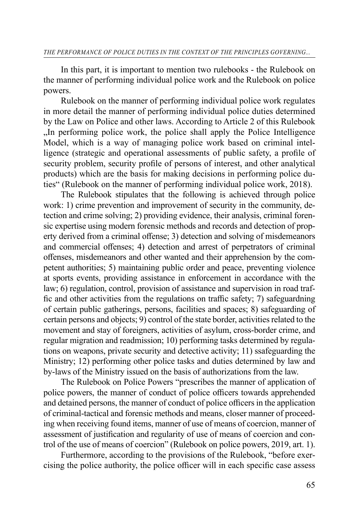In this part, it is important to mention two rulebooks - the Rulebook on the manner of performing individual police work and the Rulebook on police powers.

Rulebook on the manner of performing individual police work regulates in more detail the manner of performing individual police duties determined by the Law on Police and other laws. According to Article 2 of this Rulebook ...In performing police work, the police shall apply the Police Intelligence Model, which is a way of managing police work based on criminal intelligence (strategic and operational assessments of public safety, a profile of security problem, security profile of persons of interest, and other analytical products) which are the basis for making decisions in performing police duties" (Rulebook on the manner of performing individual police work, 2018).

The Rulebook stipulates that the following is achieved through police work: 1) crime prevention and improvement of security in the community, detection and crime solving; 2) providing evidence, their analysis, criminal forensic expertise using modern forensic methods and records and detection of property derived from a criminal offense; 3) detection and solving of misdemeanors and commercial offenses; 4) detection and arrest of perpetrators of criminal offenses, misdemeanors and other wanted and their apprehension by the competent authorities; 5) maintaining public order and peace, preventing violence at sports events, providing assistance in enforcement in accordance with the law; 6) regulation, control, provision of assistance and supervision in road traffic and other activities from the regulations on traffic safety; 7) safeguardning of certain public gatherings, persons, facilities and spaces; 8) safeguarding of certain persons and objects; 9) control of the state border, activities related to the movement and stay of foreigners, activities of asylum, cross-border crime, and regular migration and readmission; 10) performing tasks determined by regulations on weapons, private security and detective activity; 11) ssafeguarding the Ministry; 12) performing other police tasks and duties determined by law and by-laws of the Ministry issued on the basis of authorizations from the law.

The Rulebook on Police Powers "prescribes the manner of application of police powers, the manner of conduct of police officers towards apprehended and detained persons, the manner of conduct of police officers in the application of criminal-tactical and forensic methods and means, closer manner of proceeding when receiving found items, manner of use of means of coercion, manner of assessment of justification and regularity of use of means of coercion and control of the use of means of coercion" (Rulebook on police powers, 2019, art. 1).

Furthermore, according to the provisions of the Rulebook, "before exercising the police authority, the police officer will in each specific case assess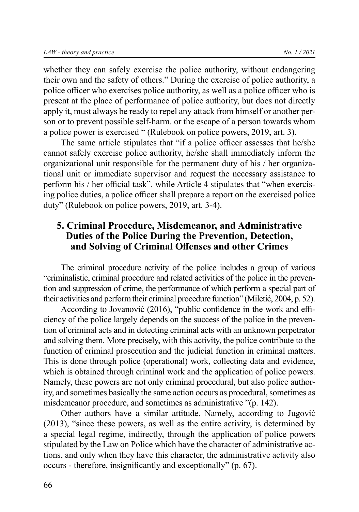whether they can safely exercise the police authority, without endangering their own and the safety of others." During the exercise of police authority, a police officer who exercises police authority, as well as a police officer who is present at the place of performance of police authority, but does not directly apply it, must always be ready to repel any attack from himself or another person or to prevent possible self-harm. or the escape of a person towards whom a police power is exercised " (Rulebook on police powers, 2019, art. 3).

The same article stipulates that "if a police officer assesses that he/she cannot safely exercise police authority, he/she shall immediately inform the organizational unit responsible for the permanent duty of his / her organizational unit or immediate supervisor and request the necessary assistance to perform his / her official task". while Article 4 stipulates that "when exercising police duties, a police officer shall prepare a report on the exercised police duty" (Rulebook on police powers, 2019, art. 3-4).

## **5. Criminal Procedure, Misdemeanor, and Administrative Duties of the Police During the Prevention, Detection, and Solving of Criminal Offenses and other Crimes**

The criminal procedure activity of the police includes a group of various "criminalistic, criminal procedure and related activities of the police in the prevention and suppression of crime, the performance of which perform a special part of their activities and perform their criminal procedure function" (Miletić, 2004, p. 52).

According to Jovanović (2016), "public confidence in the work and efficiency of the police largely depends on the success of the police in the prevention of criminal acts and in detecting criminal acts with an unknown perpetrator and solving them. More precisely, with this activity, the police contribute to the function of criminal prosecution and the judicial function in criminal matters. This is done through police (operational) work, collecting data and evidence, which is obtained through criminal work and the application of police powers. Namely, these powers are not only criminal procedural, but also police authority, and sometimes basically the same action occurs as procedural, sometimes as misdemeanor procedure, and sometimes as administrative "(p. 142).

Other authors have a similar attitude. Namely, according to Jugović (2013), "since these powers, as well as the entire activity, is determined by a special legal regime, indirectly, through the application of police powers stipulated by the Law on Police which have the character of administrative actions, and only when they have this character, the administrative activity also occurs - therefore, insignificantly and exceptionally" (p. 67).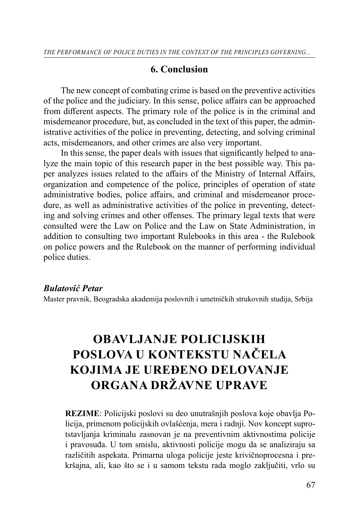## **6. Conclusion**

The new concept of combating crime is based on the preventive activities of the police and the judiciary. In this sense, police affairs can be approached from different aspects. The primary role of the police is in the criminal and misdemeanor procedure, but, as concluded in the text of this paper, the administrative activities of the police in preventing, detecting, and solving criminal acts, misdemeanors, and other crimes are also very important.

In this sense, the paper deals with issues that significantly helped to analyze the main topic of this research paper in the best possible way. This paper analyzes issues related to the affairs of the Ministry of Internal Affairs, organization and competence of the police, principles of operation of state administrative bodies, police affairs, and criminal and misdemeanor procedure, as well as administrative activities of the police in preventing, detecting and solving crimes and other offenses. The primary legal texts that were consulted were the Law on Police and the Law on State Administration, in addition to consulting two important Rulebooks in this area - the Rulebook on police powers and the Rulebook on the manner of performing individual police duties.

### *Bulatović Petar*

Master pravnik, Beogradska akademija poslovnih i umetničkih strukovnih studija, Srbija

# **OBAVLJANJE POLICIJSKIH POSLOVA U KONTEKSTU NAČELA KOJIMA JE UREĐENO DELOVANJE ORGANA DRŽAVNE UPRAVE**

**REZIME**: Policijski poslovi su deo unutrašnjih poslova koje obavlja Policija, primenom policijskih ovlašćenja, mera i radnji. Nov koncept suprotstavljanja kriminalu zasnovan je na preventivnim aktivnostima policije i pravosuđa. U tom smislu, aktivnosti policije mogu da se analiziraju sa različitih aspekata. Primarna uloga policije jeste krivičnoprocesna i prekršajna, ali, kao što se i u samom tekstu rada moglo zaključiti, vrlo su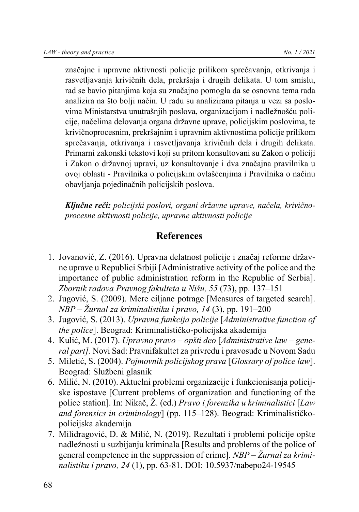značajne i upravne aktivnosti policije prilikom sprečavanja, otkrivanja i rasvetljavanja krivičnih dela, prekršaja i drugih delikata. U tom smislu, rad se bavio pitanjima koja su značajno pomogla da se osnovna tema rada analizira na što bolji način. U radu su analizirana pitanja u vezi sa poslovima Ministarstva unutrašnjih poslova, organizacijom i nadležnošću policije, načelima delovanja organa državne uprave, policijskim poslovima, te krivičnoprocesnim, prekršajnim i upravnim aktivnostima policije prilikom sprečavanja, otkrivanja i rasvetljavanja krivičnih dela i drugih delikata. Primarni zakonski tekstovi koji su pritom konsultovani su Zakon o policiji i Zakon o državnoj upravi, uz konsultovanje i dva značajna pravilnika u ovoj oblasti - Pravilnika o policijskim ovlašćenjima i Pravilnika o načinu obavljanja pojedinačnih policijskih poslova.

*Ključne reči: policijski poslovi, organi državne uprave, načela, krivičnoprocesne aktivnosti policije, upravne aktivnosti policije*

## **References**

- 1. Jovanović, Z. (2016). Upravna delatnost policije i značaj reforme državne uprave u Republici Srbiji [Administrative activity of the police and the importance of public administration reform in the Republic of Serbia]. *Zbornik radova Pravnog fakulteta u Nišu, 55* (73), pp. 137–151
- 2. Jugović, S. (2009). Mere ciljane potrage [Measures of targeted search]. *NBP – Žurnal za kriminalistiku i pravo, 14* (3), pp. 191–200
- 3. Jugović, S. (2013). *Upravna funkcija policije* [*Administrative function of the police*]. Beograd: Kriminalističko-policijska akademija
- 4. Kulić, M. (2017). *Upravno pravo opšti deo* [*Administrative law general part].* Novi Sad: Pravnifakultet za privredu i pravosuđe u Novom Sadu
- 5. Miletić, S. (2004). *Pojmovnik policijskog prava* [*Glossary of police law*]. Beograd: Službeni glasnik
- 6. Milić, N. (2010). Aktuelni problemi organizacije i funkcionisanja policijske ispostave [Current problems of organization and functioning of the police station]. In: Nikač, Ž. (ed.) *Pravo i forenzika u kriminalistici* [*Law and forensics in criminology*] (pp. 115–128). Beograd: Kriminalističkopolicijska akademija
- 7. Milidragović, D. & Milić, N. (2019). Rezultati i problemi policije opšte nadležnosti u suzbijanju kriminala [Results and problems of the police of general competence in the suppression of crime]. *NBP – Žurnal za kriminalistiku i pravo, 24* (1), pp. 63-81. DOI: 10.5937/nabepo24-19545